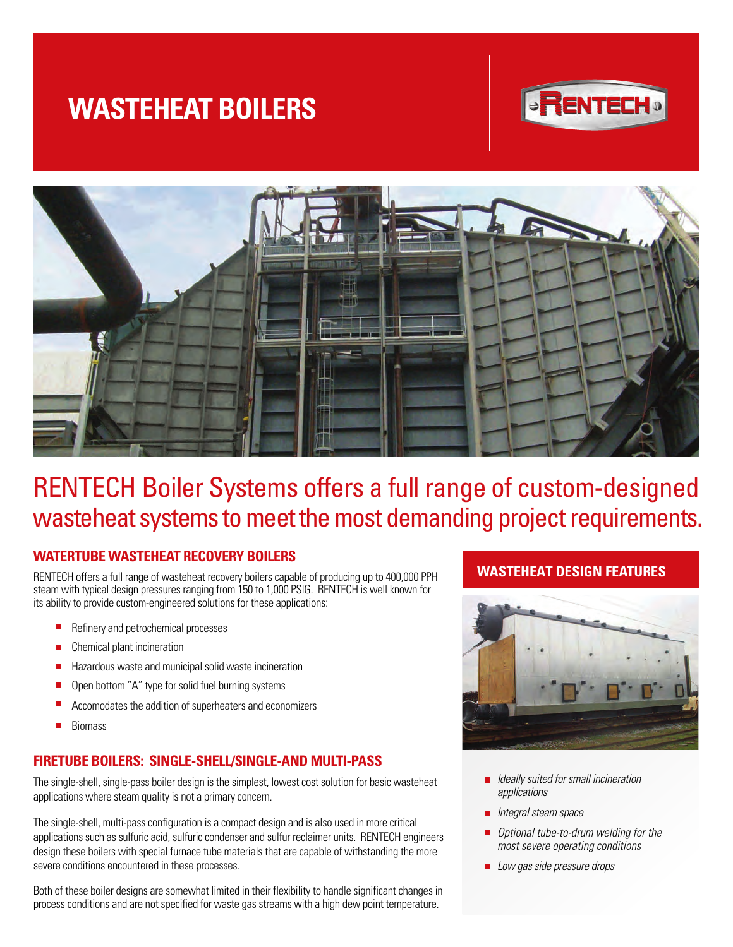# **WASTEHEAT BOILERS**





## RENTECH Boiler Systems offers a full range of custom-designed wasteheat systems to meet the most demanding project requirements.

### **WATERTUBE WASTEHEAT RECOVERY BOILERS**

RENTECH offers a full range of wasteheat recovery boilers capable of producing up to 400,000 PPH steam with typical design pressures ranging from 150 to 1,000 PSIG. RENTECH is well known for its ability to provide custom-engineered solutions for these applications:

- Refinery and petrochemical processes
- Chemical plant incineration
- Hazardous waste and municipal solid waste incineration П
- Open bottom "A" type for solid fuel burning systems П
- Accomodates the addition of superheaters and economizers
- п Biomass

### **FIRETUBE BOILERS: SINGLE-SHELL/SINGLE-AND MULTI-PASS**

The single-shell, single-pass boiler design is the simplest, lowest cost solution for basic wasteheat applications where steam quality is not a primary concern.

The single-shell, multi-pass configuration is a compact design and is also used in more critical applications such as sulfuric acid, sulfuric condenser and sulfur reclaimer units. RENTECH engineers design these boilers with special furnace tube materials that are capable of withstanding the more severe conditions encountered in these processes.

Both of these boiler designs are somewhat limited in their flexibility to handle significant changes in process conditions and are not specified for waste gas streams with a high dew point temperature.

## **WASTEHEAT DESIGN FEATURES**



- Ideally suited for small incineration applications
- **Integral steam space**
- Ē Optional tube-to-drum welding for the most severe operating conditions
- Low gas side pressure drops